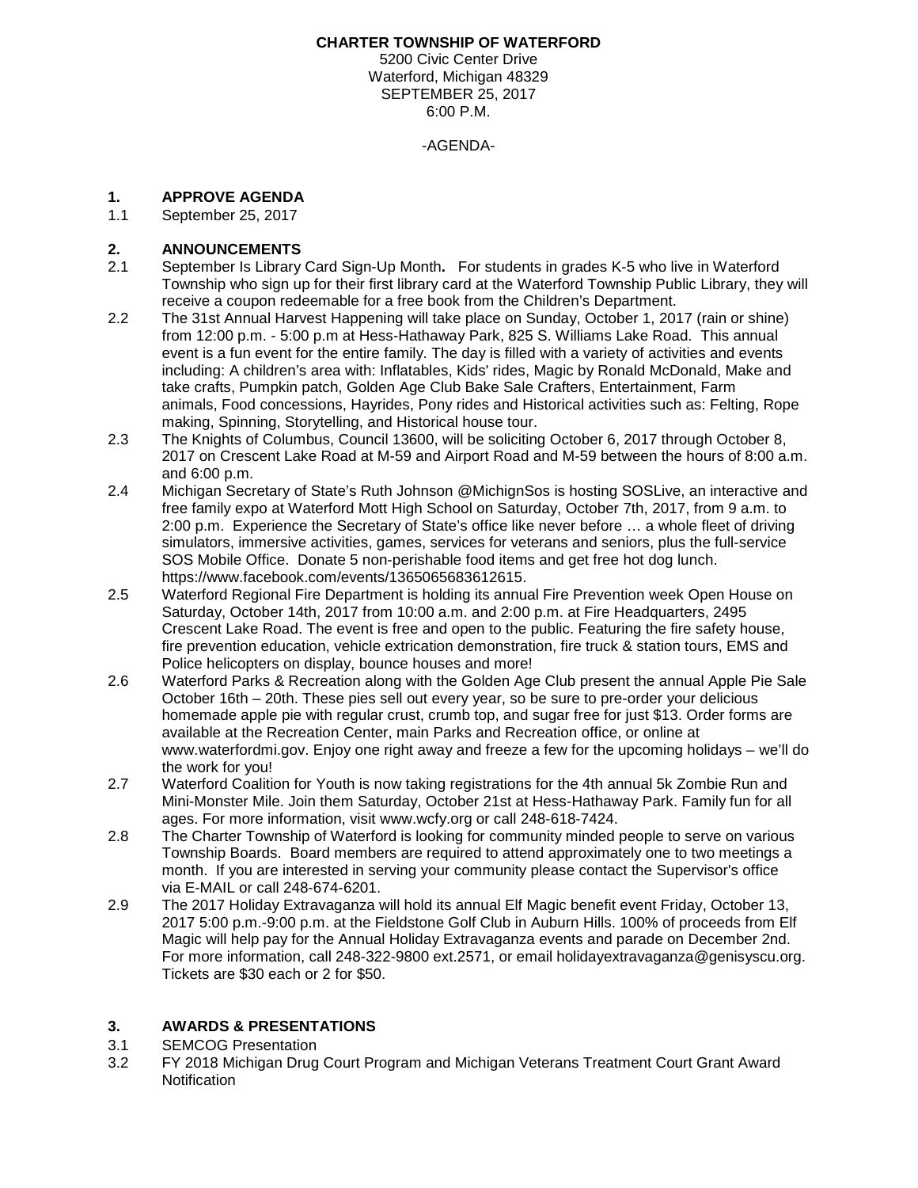#### **CHARTER TOWNSHIP OF WATERFORD**

5200 Civic Center Drive Waterford, Michigan 48329 SEPTEMBER 25, 2017 6:00 P.M.

-AGENDA-

## **1. APPROVE AGENDA**

1.1 September 25, 2017

#### **2. ANNOUNCEMENTS**

- 2.1 September Is Library Card Sign-Up Month**.** For students in grades K-5 who live in Waterford Township who sign up for their first library card at the Waterford Township Public Library, they will receive a coupon redeemable for a free book from the Children's Department.
- 2.2 The 31st Annual Harvest Happening will take place on Sunday, October 1, 2017 (rain or shine) from 12:00 p.m. - 5:00 p.m at Hess-Hathaway Park, 825 S. Williams Lake Road. This annual event is a fun event for the entire family. The day is filled with a variety of activities and events including: A children's area with: Inflatables, Kids' rides, Magic by Ronald McDonald, Make and take crafts, Pumpkin patch, Golden Age Club Bake Sale Crafters, Entertainment, Farm animals, Food concessions, Hayrides, Pony rides and Historical activities such as: Felting, Rope making, Spinning, Storytelling, and Historical house tour.
- 2.3 The Knights of Columbus, Council 13600, will be soliciting October 6, 2017 through October 8, 2017 on Crescent Lake Road at M-59 and Airport Road and M-59 between the hours of 8:00 a.m. and 6:00 p.m.
- 2.4 Michigan Secretary of State's Ruth Johnson @MichignSos is hosting SOSLive, an interactive and free family expo at Waterford Mott High School on Saturday, October 7th, 2017, from 9 a.m. to 2:00 p.m. Experience the Secretary of State's office like never before … a whole fleet of driving simulators, immersive activities, games, services for veterans and seniors, plus the full-service SOS Mobile Office. Donate 5 non-perishable food items and get free hot dog lunch. https://www.facebook.com/events/1365065683612615.
- 2.5 Waterford Regional Fire Department is holding its annual Fire Prevention week Open House on Saturday, October 14th, 2017 from 10:00 a.m. and 2:00 p.m. at Fire Headquarters, 2495 Crescent Lake Road. The event is free and open to the public. Featuring the fire safety house, fire prevention education, vehicle extrication demonstration, fire truck & station tours, EMS and Police helicopters on display, bounce houses and more!
- 2.6 Waterford Parks & Recreation along with the Golden Age Club present the annual Apple Pie Sale October 16th – 20th. These pies sell out every year, so be sure to pre-order your delicious homemade apple pie with regular crust, crumb top, and sugar free for just \$13. Order forms are available at the Recreation Center, main Parks and Recreation office, or online at www.waterfordmi.gov. Enjoy one right away and freeze a few for the upcoming holidays – we'll do the work for you!
- 2.7 Waterford Coalition for Youth is now taking registrations for the 4th annual 5k Zombie Run and Mini-Monster Mile. Join them Saturday, October 21st at Hess-Hathaway Park. Family fun for all ages. For more information, visit www.wcfy.org or call 248-618-7424.
- 2.8 The Charter Township of Waterford is looking for community minded people to serve on various Township Boards. Board members are required to attend approximately one to two meetings a month. If you are interested in serving your community please contact the Supervisor's office via [E-MAIL](mailto:supervisor@waterfordmi.gov) or call 248-674-6201.
- 2.9 The 2017 Holiday Extravaganza will hold its annual Elf Magic benefit event Friday, October 13, 2017 5:00 p.m.-9:00 p.m. at the Fieldstone Golf Club in Auburn Hills. 100% of proceeds from Elf Magic will help pay for the Annual Holiday Extravaganza events and parade on December 2nd. For more information, call 248-322-9800 ext.2571, or email holidayextravaganza@genisyscu.org. Tickets are \$30 each or 2 for \$50.

### **3. AWARDS & PRESENTATIONS**

- 3.1 SEMCOG Presentation
- 3.2 FY 2018 Michigan Drug Court Program and Michigan Veterans Treatment Court Grant Award **Notification**